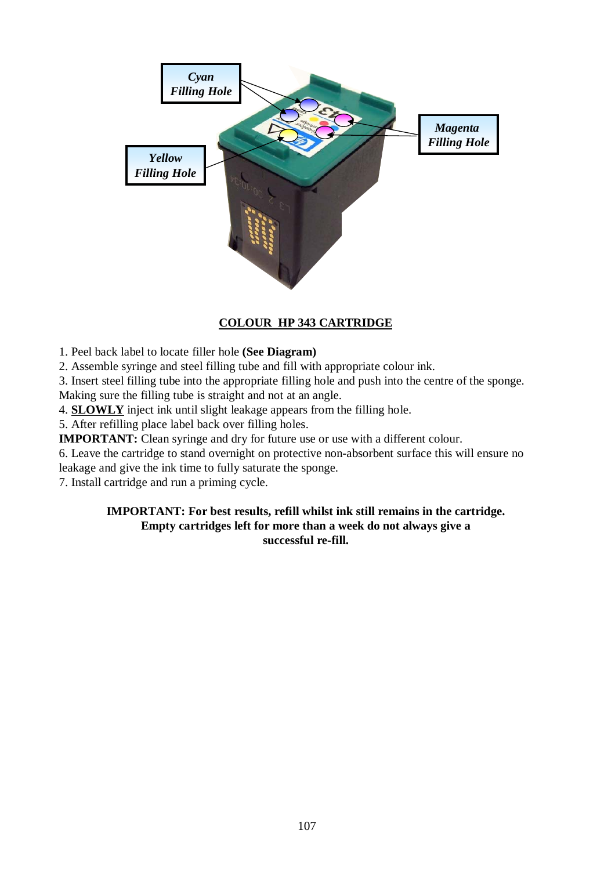

# **COLOUR HP 343 CARTRIDGE**

1. Peel back label to locate filler hole **(See Diagram)**

2. Assemble syringe and steel filling tube and fill with appropriate colour ink.

3. Insert steel filling tube into the appropriate filling hole and push into the centre of the sponge.

Making sure the filling tube is straight and not at an angle.

4. **SLOWLY** inject ink until slight leakage appears from the filling hole.

5. After refilling place label back over filling holes.

**IMPORTANT:** Clean syringe and dry for future use or use with a different colour.

6. Leave the cartridge to stand overnight on protective non-absorbent surface this will ensure no

leakage and give the ink time to fully saturate the sponge.

7. Install cartridge and run a priming cycle.

#### **IMPORTANT: For best results, refill whilst ink still remains in the cartridge. Empty cartridges left for more than a week do not always give a successful re-fill.**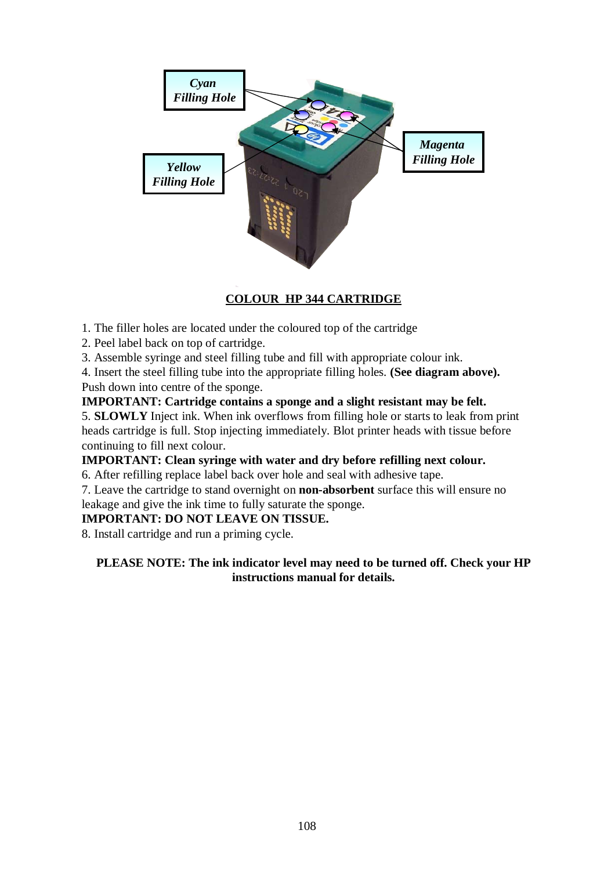

# **COLOUR HP 344 CARTRIDGE**

- 1. The filler holes are located under the coloured top of the cartridge
- 2. Peel label back on top of cartridge.
- 3. Assemble syringe and steel filling tube and fill with appropriate colour ink.

4. Insert the steel filling tube into the appropriate filling holes. **(See diagram above).** Push down into centre of the sponge.

# **IMPORTANT: Cartridge contains a sponge and a slight resistant may be felt.**

5. **SLOWLY** Inject ink. When ink overflows from filling hole or starts to leak from print heads cartridge is full. Stop injecting immediately. Blot printer heads with tissue before continuing to fill next colour.

# **IMPORTANT: Clean syringe with water and dry before refilling next colour.**

6. After refilling replace label back over hole and seal with adhesive tape.

7. Leave the cartridge to stand overnight on **non-absorbent** surface this will ensure no leakage and give the ink time to fully saturate the sponge.

#### **IMPORTANT: DO NOT LEAVE ON TISSUE.**

8. Install cartridge and run a priming cycle.

# **PLEASE NOTE: The ink indicator level may need to be turned off. Check your HP instructions manual for details.**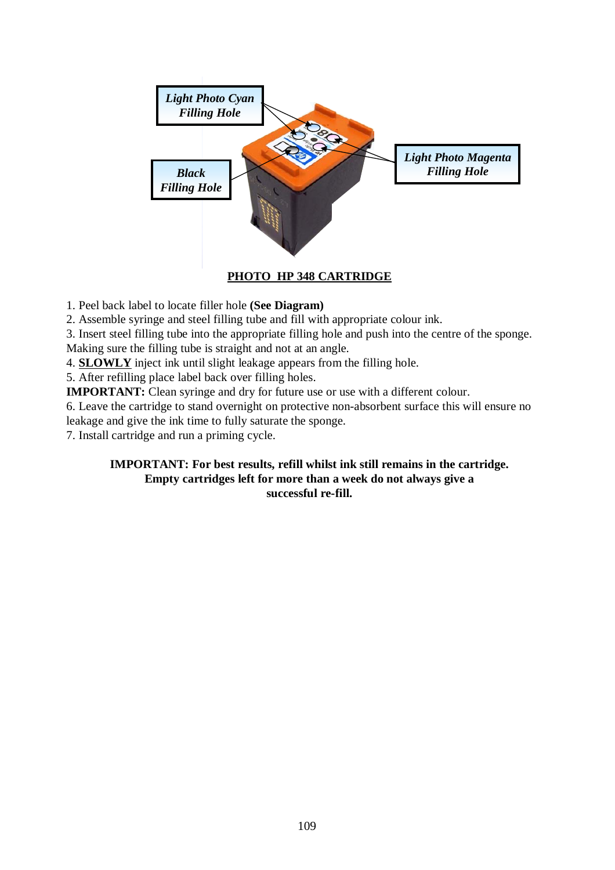

**PHOTO HP 348 CARTRIDGE**

1. Peel back label to locate filler hole **(See Diagram)**

2. Assemble syringe and steel filling tube and fill with appropriate colour ink.

3. Insert steel filling tube into the appropriate filling hole and push into the centre of the sponge.

Making sure the filling tube is straight and not at an angle.

4. **SLOWLY** inject ink until slight leakage appears from the filling hole.

5. After refilling place label back over filling holes.

**IMPORTANT:** Clean syringe and dry for future use or use with a different colour.

6. Leave the cartridge to stand overnight on protective non-absorbent surface this will ensure no leakage and give the ink time to fully saturate the sponge.

7. Install cartridge and run a priming cycle.

### **IMPORTANT: For best results, refill whilst ink still remains in the cartridge. Empty cartridges left for more than a week do not always give a successful re-fill.**